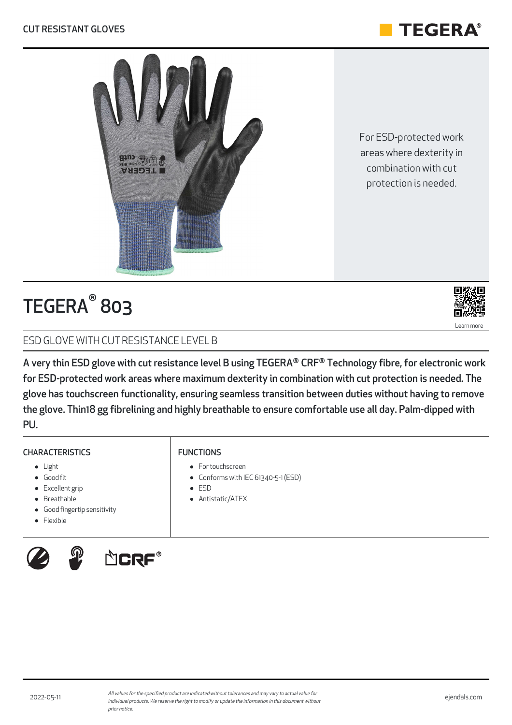#### CUT RESISTANT GLOVES

FUNCTIONS

ESD

• For touchscreen

Antistatic/ATEX



# TEGERA® 803

## ESD GLOVE WITH CUT RESISTANCE LEVEL B

A very thin ESD glove with cut resistance level B using TEGERA® CRF® Technology fibre, for electronic work for ESD-protected work areas where maximum dexterity in combination with cut protection is needed. The glove has touchscreen functionality, ensuring seamless transition between duties without having to remove the glove. Thin18 gg fibrelining and highly breathable to ensure comfortable use all day. Palm-dipped with PU.

Conforms with IEC 61340-5-1 (ESD)

#### **CHARACTERISTICS**

- Light
- Good fit
- Excellent grip
- Breathable
- Good fingertip sensitivity
- **•** Flexible







For ESD-protected work areas where dexterity in combination with cut protection is needed.